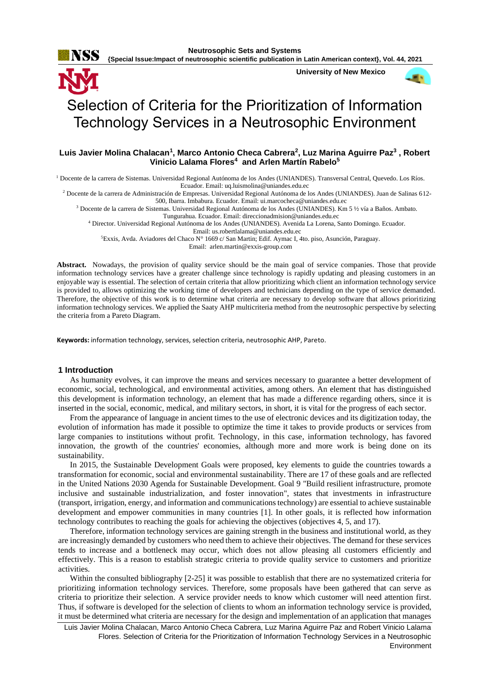

**{Special Issue:Impact of neutrosophic scientific publication in Latin American context}, Vol. 44, 2021**

**University of New Mexico**



# Selection of Criteria for the Prioritization of Information Technology Services in a Neutrosophic Environment

## **Luis Javier Molina Chalacan<sup>1</sup> , Marco Antonio Checa Cabrera<sup>2</sup> , Luz Marina Aguirre Paz<sup>3</sup> , Robert Vinicio Lalama Flores<sup>4</sup> and Arlen Martín Rabelo<sup>5</sup>**

<sup>1</sup> Docente de la carrera de Sistemas. Universidad Regional Autónoma de los Andes (UNIANDES). Transversal Central, Quevedo. Los Ríos. Ecuador. Email[: uq.luismolina@uniandes.edu.ec](mailto:uq.luismolina@uniandes.edu.ec)

<sup>2</sup> Docente de la carrera de Administración de Empresas. Universidad Regional Autónoma de los Andes (UNIANDES). Juan de Salinas 612- 500, Ibarra. Imbabura. Ecuador. Email: [ui.marcocheca@uniandes.edu.ec](mailto:ui.marcocheca@uniandes.edu.ec)

<sup>3</sup> Docente de la carrera de Sistemas. Universidad Regional Autónoma de los Andes (UNIANDES). Km 5 ½ vía a Baños. Ambato.

Tungurahua. Ecuador. Email: [direccionadmision@uniandes.edu.ec](mailto:direccionadmision@uniandes.edu.ec)

<sup>4</sup> Director. Universidad Regional Autónoma de los Andes (UNIANDES). Avenida La Lorena, Santo Domingo. Ecuador.

Email: [us.robertlalama@uniandes.edu.ec](mailto:us.robertlalama@uniandes.edu.ec)

<sup>5</sup>Exxis, Avda. Aviadores del Chaco N° 1669 c/ San Martin; Edif. Aymac I, 4to. piso, Asunción, Paraguay.

Email: [arlen.martin@exxis-group.com](mailto:arlen.martin@exxis-group.com)

Abstract. Nowadays, the provision of quality service should be the main goal of service companies. Those that provide information technology services have a greater challenge since technology is rapidly updating and pleasing customers in an enjoyable way is essential. The selection of certain criteria that allow prioritizing which client an information technology service is provided to, allows optimizing the working time of developers and technicians depending on the type of service demanded. Therefore, the objective of this work is to determine what criteria are necessary to develop software that allows prioritizing information technology services. We applied the Saaty AHP multicriteria method from the neutrosophic perspective by selecting the criteria from a Pareto Diagram.

**Keywords:** information technology, services, selection criteria, neutrosophic AHP, Pareto.

## **1 Introduction**

As humanity evolves, it can improve the means and services necessary to guarantee a better development of economic, social, technological, and environmental activities, among others. An element that has distinguished this development is information technology, an element that has made a difference regarding others, since it is inserted in the social, economic, medical, and military sectors, in short, it is vital for the progress of each sector.

From the appearance of language in ancient times to the use of electronic devices and its digitization today, the evolution of information has made it possible to optimize the time it takes to provide products or services from large companies to institutions without profit. Technology, in this case, information technology, has favored innovation, the growth of the countries' economies, although more and more work is being done on its sustainability.

In 2015, the Sustainable Development Goals were proposed, key elements to guide the countries towards a transformation for economic, social and environmental sustainability. There are 17 of these goals and are reflected in the United Nations 2030 Agenda for Sustainable Development. Goal 9 "Build resilient infrastructure, promote inclusive and sustainable industrialization, and foster innovation", states that investments in infrastructure (transport, irrigation, energy, and information and communications technology) are essential to achieve sustainable development and empower communities in many countries [\[1\]](#page-7-0). In other goals, it is reflected how information technology contributes to reaching the goals for achieving the objectives (objectives 4, 5, and 17).

Therefore, information technology services are gaining strength in the business and institutional world, as they are increasingly demanded by customers who need them to achieve their objectives. The demand for these services tends to increase and a bottleneck may occur, which does not allow pleasing all customers efficiently and effectively. This is a reason to establish strategic criteria to provide quality service to customers and prioritize activities.

Within the consulted bibliography [\[2-25\]](#page-7-1) it was possible to establish that there are no systematized criteria for prioritizing information technology services. Therefore, some proposals have been gathered that can serve as criteria to prioritize their selection. A service provider needs to know which customer will need attention first. Thus, if software is developed for the selection of clients to whom an information technology service is provided, it must be determined what criteria are necessary for the design and implementation of an application that manages

Luis Javier Molina Chalacan, Marco Antonio Checa Cabrera, Luz Marina Aguirre Paz and Robert Vinicio Lalama Flores. Selection of Criteria for the Prioritization of Information Technology Services in a Neutrosophic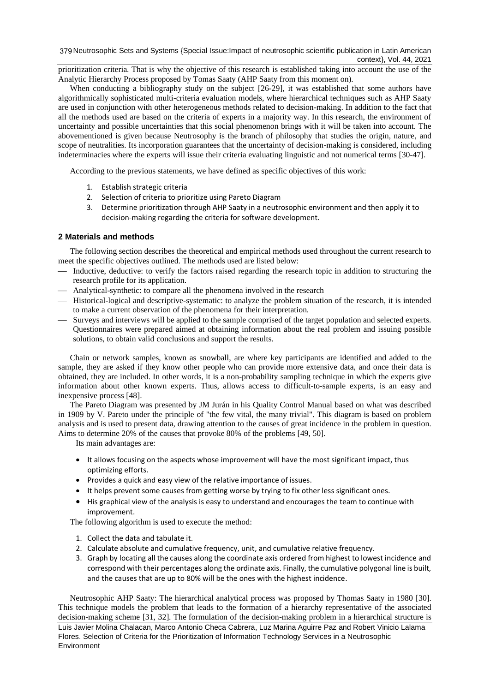379 Neutrosophic Sets and Systems {Special Issue:Impact of neutrosophic scientific publication in Latin American context}, Vol. 44, 2021

prioritization criteria. That is why the objective of this research is established taking into account the use of the Analytic Hierarchy Process proposed by Tomas Saaty (AHP Saaty from this moment on).

When conducting a bibliography study on the subject [\[26-29\]](#page-8-0), it was established that some authors have algorithmically sophisticated multi-criteria evaluation models, where hierarchical techniques such as AHP Saaty are used in conjunction with other heterogeneous methods related to decision-making. In addition to the fact that all the methods used are based on the criteria of experts in a majority way. In this research, the environment of uncertainty and possible uncertainties that this social phenomenon brings with it will be taken into account. The abovementioned is given because Neutrosophy is the branch of philosophy that studies the origin, nature, and scope of neutralities. Its incorporation guarantees that the uncertainty of decision-making is considered, including indeterminacies where the experts will issue their criteria evaluating linguistic and not numerical terms [\[30-47\]](#page-8-1).

According to the previous statements, we have defined as specific objectives of this work:

- 1. Establish strategic criteria
- 2. Selection of criteria to prioritize using Pareto Diagram
- 3. Determine prioritization through AHP Saaty in a neutrosophic environment and then apply it to decision-making regarding the criteria for software development.

#### **2 Materials and methods**

The following section describes the theoretical and empirical methods used throughout the current research to meet the specific objectives outlined. The methods used are listed below:

- ⎯ Inductive, deductive: to verify the factors raised regarding the research topic in addition to structuring the research profile for its application.
- Analytical-synthetic: to compare all the phenomena involved in the research
- ⎯ Historical-logical and descriptive-systematic: to analyze the problem situation of the research, it is intended to make a current observation of the phenomena for their interpretation.
- ⎯ Surveys and interviews will be applied to the sample comprised of the target population and selected experts. Questionnaires were prepared aimed at obtaining information about the real problem and issuing possible solutions, to obtain valid conclusions and support the results.

Chain or network samples, known as snowball, are where key participants are identified and added to the sample, they are asked if they know other people who can provide more extensive data, and once their data is obtained, they are included. In other words, it is a non-probability sampling technique in which the experts give information about other known experts. Thus, allows access to difficult-to-sample experts, is an easy and inexpensive process [\[48\]](#page-9-0).

The Pareto Diagram was presented by JM Jurán in his Quality Control Manual based on what was described in 1909 by V. Pareto under the principle of "the few vital, the many trivial". This diagram is based on problem analysis and is used to present data, drawing attention to the causes of great incidence in the problem in question. Aims to determine 20% of the causes that provoke 80% of the problems [\[49,](#page-9-1) [50\]](#page-9-2).

Its main advantages are:

- It allows focusing on the aspects whose improvement will have the most significant impact, thus optimizing efforts.
- Provides a quick and easy view of the relative importance of issues.
- It helps prevent some causes from getting worse by trying to fix other less significant ones.
- His graphical view of the analysis is easy to understand and encourages the team to continue with improvement.

The following algorithm is used to execute the method:

- 1. Collect the data and tabulate it.
- 2. Calculate absolute and cumulative frequency, unit, and cumulative relative frequency.
- 3. Graph by locating all the causes along the coordinate axis ordered from highest to lowest incidence and correspond with their percentages along the ordinate axis. Finally, the cumulative polygonal line is built, and the causes that are up to 80% will be the ones with the highest incidence.

Luis Javier Molina Chalacan, Marco Antonio Checa Cabrera, Luz Marina Aguirre Paz and Robert Vinicio Lalama Flores. Selection of Criteria for the Prioritization of Information Technology Services in a Neutrosophic **Environment** Neutrosophic AHP Saaty: The hierarchical analytical process was proposed by Thomas Saaty in 1980 [\[30\]](#page-8-1). This technique models the problem that leads to the formation of a hierarchy representative of the associated decision-making scheme [\[31,](#page-8-2) [32\]](#page-8-3). The formulation of the decision-making problem in a hierarchical structure is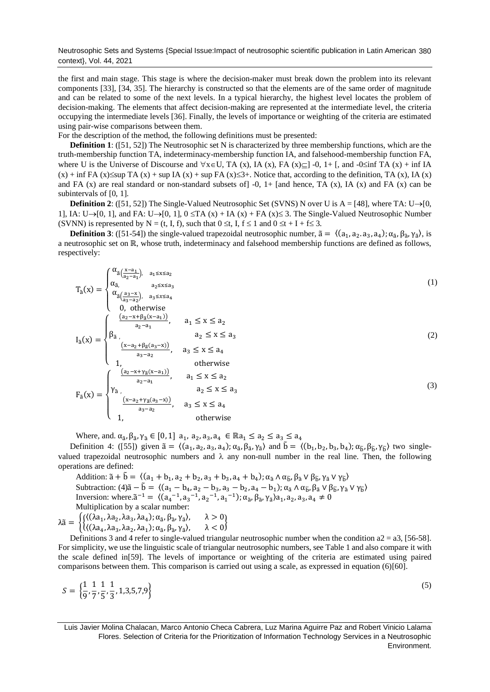Neutrosophic Sets and Systems {Special Issue:Impact of neutrosophic scientific publication in Latin American 380 context}, Vol. 44, 2021

the first and main stage. This stage is where the decision-maker must break down the problem into its relevant components [\[33\]](#page-8-4), [\[34,](#page-8-5) [35\]](#page-8-6). The hierarchy is constructed so that the elements are of the same order of magnitude and can be related to some of the next levels. In a typical hierarchy, the highest level locates the problem of decision-making. The elements that affect decision-making are represented at the intermediate level, the criteria occupying the intermediate levels [\[36\]](#page-8-7). Finally, the levels of importance or weighting of the criteria are estimated using pair-wise comparisons between them.

For the description of the method, the following definitions must be presented:

**Definition 1**: ([\[51,](#page-9-3) [52\]](#page-9-4)) The Neutrosophic set N is characterized by three membership functions, which are the truth-membership function TA, indeterminacy-membership function IA, and falsehood-membership function FA, where U is the Universe of Discourse and  $\forall x \in U$ , TA (x), IA (x), FA (x) $\subseteq$  -0, 1+ [, and -0 $\le$ inf TA (x) + inf IA  $(x)$  + inf FA  $(x) \leq$ sup TA  $(x)$  + sup IA  $(x)$  + sup FA  $(x) \leq 3+$ . Notice that, according to the definition, TA  $(x)$ , IA  $(x)$ and FA  $(x)$  are real standard or non-standard subsets of  $\vert$  -0, 1+ [and hence, TA  $(x)$ , IA  $(x)$  and FA  $(x)$  can be subintervals of [0, 1].

**Definition 2**: ([\[51,](#page-9-3) [52\]](#page-9-4)) The Single-Valued Neutrosophic Set (SVNS) N over U is  $A = \begin{bmatrix} 48 \\ 16 \end{bmatrix}$ , where TA: U→[0, 1], IA: U→[0, 1], and FA: U→[0, 1],  $0 \le TA(x) + IA(x) + FA(x) \le 3$ . The Single-Valued Neutrosophic Number (SVNN) is represented by N = (t, I, f), such that  $0 \le t$ , I,  $f \le 1$  and  $0 \le t + I + f \le 3$ .

**Definition 3**: ([\[51-54\]](#page-9-3)) the single-valued trapezoidal neutrosophic number,  $\tilde{a} = \langle (a_1, a_2, a_3, a_4), \alpha_{\tilde{a}}, \beta_{\tilde{a}}, \gamma_{\tilde{a}} \rangle$ , is a neutrosophic set on ℝ, whose truth, indeterminacy and falsehood membership functions are defined as follows, respectively:

$$
T_{\tilde{a}}(x) = \begin{cases} \alpha_{\tilde{a}\left(\frac{x-a_1}{a_2-a_1}\right)}, & a_1 \le x \le a_2\\ \alpha_{\tilde{a}}, & a_2 \le x \le a_3\\ \alpha_{\tilde{a}\left(\frac{a_3-x}{a_3-a_2}\right)}, & a_3 \le x \le a_4\\ 0, & \text{otherwise} \end{cases} \tag{1}
$$

$$
I_{\tilde{a}}(x) = \begin{cases} \frac{(a_2 - x + \beta_{\tilde{a}}(x - a_1))}{a_2 - a_1}, & a_1 \le x \le a_2\\ \beta_{\tilde{a}}, & a_2 \le x \le a_3\\ \frac{(x - a_2 + \beta_{\tilde{a}}(a_3 - x))}{a_3 - a_2}, & a_3 \le x \le a_4\\ 1, & \text{otherwise} \end{cases}
$$
(2)  

$$
F_{\tilde{a}}(x) = \begin{cases} \frac{(a_2 - x + \gamma_{\tilde{a}}(x - a_1))}{a_2 - a_1}, & a_1 \le x \le a_2\\ \gamma_{\tilde{a}}, & a_2 \le x \le a_3\\ \frac{(x - a_2 + \gamma_{\tilde{a}}(a_3 - x))}{a_3 - a_2}, & a_3 \le x \le a_4\\ 1, & \text{otherwise} \end{cases}
$$
(3)

Where, and.  $\alpha_{\tilde{a}}, \beta_{\tilde{a}}, \gamma_{\tilde{a}} \in [0,1]$  a<sub>1</sub>, a<sub>2</sub>, a<sub>3</sub>, a<sub>4</sub>  $\in \mathbb{R}$ a<sub>1</sub>  $\leq a_2 \leq a_3 \leq a_4$ 

Definition 4: ([\[55\]](#page-9-5)) given  $\tilde{a} = \langle (a_1, a_2, a_3, a_4); \alpha_{\tilde{a}}, \beta_{\tilde{a}}, \gamma_{\tilde{a}} \rangle$  and  $\tilde{b} = \langle (b_1, b_2, b_3, b_4); \alpha_{\tilde{b}}, \beta_{\tilde{b}}, \gamma_{\tilde{b}} \rangle$  two singlevalued trapezoidal neutrosophic numbers and  $\lambda$  any non-null number in the real line. Then, the following operations are defined:

Addition:  $\tilde{a} + \tilde{b} = \langle (a_1 + b_1, a_2 + b_2, a_3 + b_3, a_4 + b_4) ; \alpha_{\tilde{a}} \wedge \alpha_{\tilde{b}}, \beta_{\tilde{a}} \vee \beta_{\tilde{b}}, \gamma_{\tilde{a}} \vee \gamma_{\tilde{b}} \rangle$ Subtraction:  $(4)\tilde{a} - \tilde{b} = \langle (a_1 - b_4, a_2 - b_3, a_3 - b_2, a_4 - b_1) \rangle$ ;  $\alpha_{\tilde{a}} \wedge \alpha_{\tilde{b}}, \beta_{\tilde{a}} \vee \beta_{\tilde{b}}, \gamma_{\tilde{a}} \vee \gamma_{\tilde{b}} \rangle$ Inversion: where. $\tilde{a}^{-1} = \langle (a_4^{-1}, a_3^{-1}, a_2^{-1}, a_1^{-1}); \alpha_{\tilde{a}}, \beta_{\tilde{a}}, \gamma_{\tilde{a}} \rangle a_1, a_2, a_3, a_4 \neq 0$ Multiplication by a scalar number:

 $\lambda \tilde{a} = \begin{cases} \left\{ \left( (\lambda a_1, \lambda a_2, \lambda a_3, \lambda a_4); \alpha_{\tilde{a}}, \beta_{\tilde{a}}, \gamma_{\tilde{a}} \right), & \lambda > 0 \\ \left\{ \left( \lambda a_1, \lambda a_2, \lambda a_3, \lambda a_4 \right); \alpha_{\tilde{a}}, \beta_{\tilde{a}}, \gamma_{\tilde{a}} \right), & \lambda > 0 \end{cases}$  $\langle (\lambda a_4, \lambda a_3, \lambda a_2, \lambda a_1), \alpha_{\tilde{a}}, \beta_{\tilde{a}}, \gamma_{\tilde{a}} \rangle, \quad \lambda < 0$ 

Definitions 3 and 4 refer to single-valued triangular neutrosophic number when the condition  $a2 = a3$ , [\[56-58\]](#page-9-6). For simplicity, we use the linguistic scale of triangular neutrosophic numbers, see Table 1 and also compare it with the scale defined in[\[59\]](#page-9-7). The levels of importance or weighting of the criteria are estimated using paired comparisons between them. This comparison is carried out using a scale, as expressed in equation (6)[\[60\]](#page-9-8).

$$
S = \left\{ \frac{1}{9}, \frac{1}{7}, \frac{1}{5}, \frac{1}{3}, 1, 3, 5, 7, 9 \right\}
$$
 (5)

Luis Javier Molina Chalacan, Marco Antonio Checa Cabrera, Luz Marina Aguirre Paz and Robert Vinicio Lalama Flores. Selection of Criteria for the Prioritization of Information Technology Services in a Neutrosophic Environment.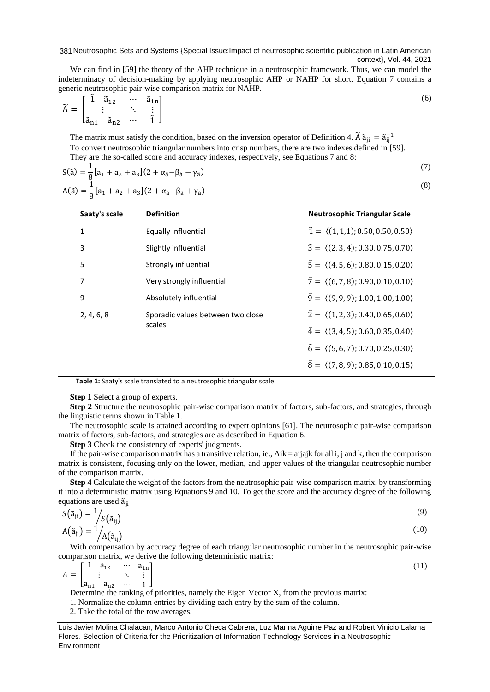381 Neutrosophic Sets and Systems {Special Issue:Impact of neutrosophic scientific publication in Latin American context}, Vol. 44, 2021

We can find in [\[59\]](#page-9-7) the theory of the AHP technique in a neutrosophic framework. Thus, we can model the indeterminacy of decision-making by applying neutrosophic AHP or NAHP for short. Equation 7 contains a generic neutrosophic pair-wise comparison matrix for NAHP.

$$
\widetilde{A} = \begin{bmatrix} \widetilde{1} & \widetilde{a}_{12} & \cdots & \widetilde{a}_{1n} \\ \vdots & \ddots & \vdots \\ \widetilde{a}_{n1} & \widetilde{a}_{n2} & \cdots & \widetilde{1} \end{bmatrix}
$$
\n(6)

The matrix must satisfy the condition, based on the inversion operator of Definition 4.  $\tilde{A} \tilde{a}_{ji} = \tilde{a}_{ij}^{-1}$ To convert neutrosophic triangular numbers into crisp numbers, there are two indexes defined in [\[59\]](#page-9-7). They are the so-called score and accuracy indexes, respectively, see Equations 7 and 8:

$$
S(\tilde{a}) = \frac{1}{8} [a_1 + a_2 + a_3](2 + \alpha_{\tilde{a}} - \beta_{\tilde{a}} - \gamma_{\tilde{a}})
$$
  

$$
A(\tilde{a}) = \frac{1}{8} [a_1 + a_2 + a_3](2 + \alpha_{\tilde{a}} - \beta_{\tilde{a}} + \gamma_{\tilde{a}})
$$

(8)

(7)

| Saaty's scale | <b>Definition</b>                 | <b>Neutrosophic Triangular Scale</b>                      |
|---------------|-----------------------------------|-----------------------------------------------------------|
| 1             | Equally influential               | $\tilde{1} = \langle (1,1,1); 0.50, 0.50, 0.50 \rangle$   |
| 3             | Slightly influential              | $\tilde{3} = \langle (2,3,4); 0.30, 0.75, 0.70 \rangle$   |
| 5             | Strongly influential              | $\tilde{5} = \langle (4, 5, 6); 0.80, 0.15, 0.20 \rangle$ |
| 7             | Very strongly influential         | $\tilde{7} = \langle (6, 7, 8); 0.90, 0.10, 0.10 \rangle$ |
| 9             | Absolutely influential            | $\tilde{9} = \langle (9, 9, 9); 1.00, 1.00, 1.00 \rangle$ |
| 2, 4, 6, 8    | Sporadic values between two close | $\tilde{2} = \langle (1, 2, 3); 0.40, 0.65, 0.60 \rangle$ |
|               | scales                            | $\tilde{4} = \langle (3, 4, 5); 0.60, 0.35, 0.40 \rangle$ |
|               |                                   | $\tilde{6} = \langle (5, 6, 7); 0.70, 0.25, 0.30 \rangle$ |
|               |                                   | $\tilde{8} = \langle (7,8,9); 0.85, 0.10, 0.15 \rangle$   |
|               |                                   |                                                           |

**Table 1:** Saaty's scale translated to a neutrosophic triangular scale.

**Step 1** Select a group of experts.

**Step 2** Structure the neutrosophic pair-wise comparison matrix of factors, sub-factors, and strategies, through the linguistic terms shown in Table 1.

The neutrosophic scale is attained according to expert opinions [\[61\]](#page-9-9). The neutrosophic pair-wise comparison matrix of factors, sub-factors, and strategies are as described in Equation 6.

**Step 3** Check the consistency of experts' judgments.

If the pair-wise comparison matrix has a transitive relation, ie.,  $Aik = a^i$  and i, j and k, then the comparison matrix is consistent, focusing only on the lower, median, and upper values of the triangular neutrosophic number of the comparison matrix.

**Step 4** Calculate the weight of the factors from the neutrosophic pair-wise comparison matrix, by transforming it into a deterministic matrix using Equations 9 and 10. To get the score and the accuracy degree of the following equations are used:  $\tilde{a}_{ii}$ 

$$
S(\tilde{a}_{ji}) = \frac{1}{S(\tilde{a}_{ij})}
$$
  
\n
$$
A(\tilde{a}_{ji}) = \frac{1}{A(\tilde{a}_{ij})}
$$
\n(9)

With compensation by accuracy degree of each triangular neutrosophic number in the neutrosophic pair-wise comparison matrix, we derive the following deterministic matrix:

$$
A = \begin{bmatrix} 1 & a_{12} & \cdots & a_{1n} \\ \vdots & \ddots & \vdots \\ a_{n1} & a_{n2} & \cdots & 1 \end{bmatrix}
$$
 (11)

Determine the ranking of priorities, namely the Eigen Vector X, from the previous matrix:

1. Normalize the column entries by dividing each entry by the sum of the column.

2. Take the total of the row averages.

Luis Javier Molina Chalacan, Marco Antonio Checa Cabrera, Luz Marina Aguirre Paz and Robert Vinicio Lalama Flores. Selection of Criteria for the Prioritization of Information Technology Services in a Neutrosophic Environment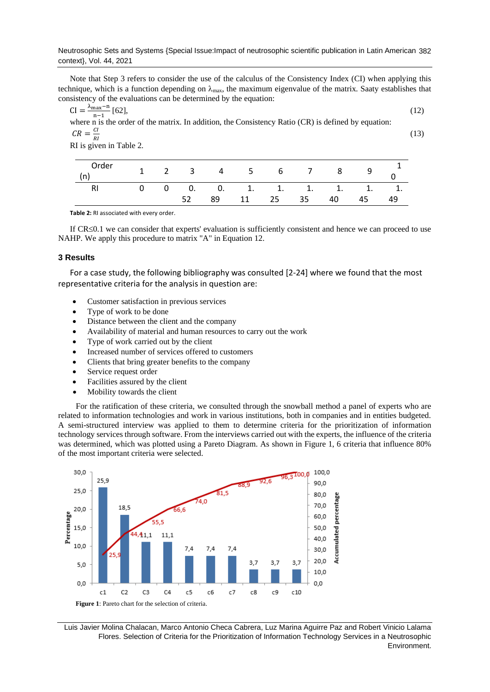Neutrosophic Sets and Systems {Special Issue:Impact of neutrosophic scientific publication in Latin American 382 context}, Vol. 44, 2021

Note that Step 3 refers to consider the use of the calculus of the Consistency Index (CI) when applying this technique, which is a function depending on  $\lambda_{\text{max}}$ , the maximum eigenvalue of the matrix. Saaty establishes that consistency of the evaluations can be determined by the equation:

CI = 
$$
\frac{\lambda_{\text{max}} - n}{n-1}
$$
 [62], (12)  
where n is the order of the matrix. In addition, the Consistency Ratio (CR) is defined by equation:  

$$
CR = \frac{CI}{n}
$$
 (13)

R I RI is given in Table 2.

| Order |  |    |    |    |    |    | 2 3 4 5 6 7 8 9           |  |
|-------|--|----|----|----|----|----|---------------------------|--|
|       |  |    |    |    |    |    | 0 0. 0. 1. 1. 1. 1. 1. 1. |  |
|       |  | 89 | 11 | 25 | 35 | 40 | 45                        |  |

**Table 2:** RI associated with every order.

If  $CR \leq 0.1$  we can consider that experts' evaluation is sufficiently consistent and hence we can proceed to use NAHP. We apply this procedure to matrix "A" in Equation 12.

#### **3 Results**

For a case study, the following bibliography was consulted [\[2-24\]](#page-7-1) where we found that the most representative criteria for the analysis in question are:

- Customer satisfaction in previous services
- Type of work to be done
- Distance between the client and the company
- Availability of material and human resources to carry out the work
- Type of work carried out by the client
- Increased number of services offered to customers
- Clients that bring greater benefits to the company
- Service request order
- Facilities assured by the client
- Mobility towards the client

For the ratification of these criteria, we consulted through the snowball method a panel of experts who are related to information technologies and work in various institutions, both in companies and in entities budgeted. A semi-structured interview was applied to them to determine criteria for the prioritization of information technology services through software. From the interviews carried out with the experts, the influence of the criteria was determined, which was plotted using a Pareto Diagram. As shown in Figure 1, 6 criteria that influence 80% of the most important criteria were selected.



Luis Javier Molina Chalacan, Marco Antonio Checa Cabrera, Luz Marina Aguirre Paz and Robert Vinicio Lalama Flores. Selection of Criteria for the Prioritization of Information Technology Services in a Neutrosophic Environment.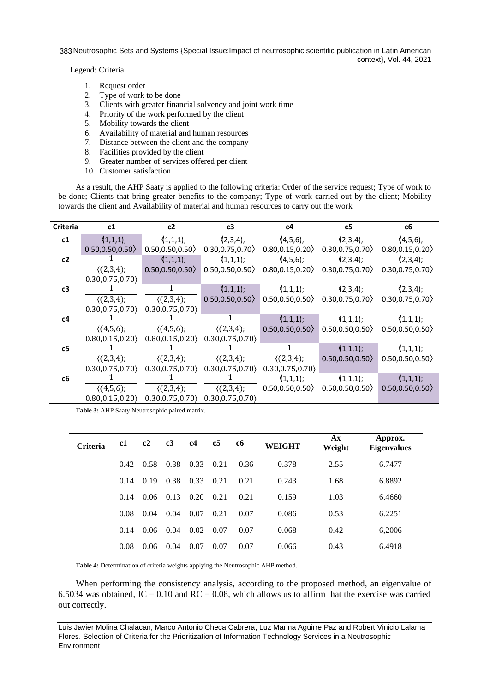383 Neutrosophic Sets and Systems {Special Issue:Impact of neutrosophic scientific publication in Latin American context}, Vol. 44, 2021

Legend: Criteria

- 1. Request order
- 2. Type of work to be done
- 3. Clients with greater financial solvency and joint work time
- 4. Priority of the work performed by the client
- 5. Mobility towards the client
- 6. Availability of material and human resources
- 7. Distance between the client and the company
- 8. Facilities provided by the client
- 9. Greater number of services offered per client
- 10. Customer satisfaction

As a result, the AHP Saaty is applied to the following criteria: Order of the service request; Type of work to be done; Clients that bring greater benefits to the company; Type of work carried out by the client; Mobility towards the client and Availability of material and human resources to carry out the work

| Criteria | c1               | c2               | c3               | c4               | c5                                    | c6               |  |
|----------|------------------|------------------|------------------|------------------|---------------------------------------|------------------|--|
| c1       | (1,1,1);         | (1,1,1);         | (2,3,4);         | (4,5,6);         | (2,3,4);                              | (4,5,6);         |  |
|          | 0.50, 0.50, 0.50 | 0.50, 0.50, 0.50 | 0.30, 0.75, 0.70 | 0.80, 0.15, 0.20 | 0.30, 0.75, 0.70                      | 0.80, 0.15, 0.20 |  |
| c2       |                  | (1,1,1);         | (1,1,1);         | (4,5,6);         | (2,3,4);                              | (2,3,4);         |  |
|          | (2,3,4);         | 0.50, 0.50, 0.50 | 0.50, 0.50, 0.50 | 0.80, 0.15, 0.20 | 0.30, 0.75, 0.70                      | 0.30, 0.75, 0.70 |  |
|          | 0.30, 0.75, 0.70 |                  |                  |                  |                                       |                  |  |
| c3       |                  | $\mathbf{1}$     | (1,1,1);         | (1,1,1);         | (2,3,4);                              | (2,3,4);         |  |
|          | (2,3,4);         | (2,3,4);         | 0.50, 0.50, 0.50 |                  | $0.50, 0.50, 0.50$ $0.30, 0.75, 0.70$ | 0.30, 0.75, 0.70 |  |
|          | 0.30, 0.75, 0.70 | 0.30, 0.75, 0.70 |                  |                  |                                       |                  |  |
| c4       |                  |                  | 1                | (1,1,1);         | (1,1,1);                              | (1,1,1);         |  |
|          | (4,5,6);         | (4,5,6);         | (2,3,4);         |                  | $0.50, 0.50, 0.50$ 0.50, 0.50, 0.50   | 0.50, 0.50, 0.50 |  |
|          | 0.80, 0.15, 0.20 | 0.80, 0.15, 0.20 | 0.30, 0.75, 0.70 |                  |                                       |                  |  |
| c5       |                  |                  |                  | 1                | (1,1,1);                              | (1,1,1);         |  |
|          | (2,3,4);         | (2,3,4);         | (2,3,4);         | (2,3,4);         | 0.50, 0.50, 0.50                      | 0.50, 0.50, 0.50 |  |
|          | 0.30, 0.75, 0.70 | 0.30, 0.75, 0.70 | 0.30, 0.75, 0.70 | 0.30, 0.75, 0.70 |                                       |                  |  |
| c6       |                  |                  |                  | (1,1,1);         | (1,1,1);                              | (1,1,1);         |  |
|          | (4,5,6);         | (2,3,4);         | (2,3,4);         | 0.50, 0.50, 0.50 | 0.50, 0.50, 0.50                      | 0.50, 0.50, 0.50 |  |
|          | 0.80, 0.15, 0.20 | 0.30, 0.75, 0.70 | 0.30, 0.75, 0.70 |                  |                                       |                  |  |

**Table 3:** AHP Saaty Neutrosophic paired matrix.

| <b>Criteria</b> | c1   | c2   | c3   | c4   | c <sub>5</sub> | c <sub>6</sub> | <b>WEIGHT</b> | $A\mathbf{x}$<br>Weight | Approx.<br><b>Eigenvalues</b> |
|-----------------|------|------|------|------|----------------|----------------|---------------|-------------------------|-------------------------------|
|                 | 0.42 | 0.58 | 0.38 | 0.33 | 0.21           | 0.36           | 0.378         | 2.55                    | 6.7477                        |
|                 | 0.14 | 0.19 | 0.38 | 0.33 | 0.21           | 0.21           | 0.243         | 1.68                    | 6.8892                        |
|                 | 0.14 | 0.06 | 0.13 | 0.20 | 0.21           | 0.21           | 0.159         | 1.03                    | 6.4660                        |
|                 | 0.08 | 0.04 | 0.04 | 0.07 | 0.21           | 0.07           | 0.086         | 0.53                    | 6.2251                        |
|                 | 0.14 | 0.06 | 0.04 | 0.02 | 0.07           | 0.07           | 0.068         | 0.42                    | 6,2006                        |
|                 | 0.08 | 0.06 | 0.04 | 0.07 | 0.07           | 0.07           | 0.066         | 0.43                    | 6.4918                        |
|                 |      |      |      |      |                |                |               |                         |                               |

**Table 4:** Determination of criteria weights applying the Neutrosophic AHP method.

When performing the consistency analysis, according to the proposed method, an eigenvalue of 6.5034 was obtained,  $IC = 0.10$  and  $RC = 0.08$ , which allows us to affirm that the exercise was carried out correctly.

Luis Javier Molina Chalacan, Marco Antonio Checa Cabrera, Luz Marina Aguirre Paz and Robert Vinicio Lalama Flores. Selection of Criteria for the Prioritization of Information Technology Services in a Neutrosophic Environment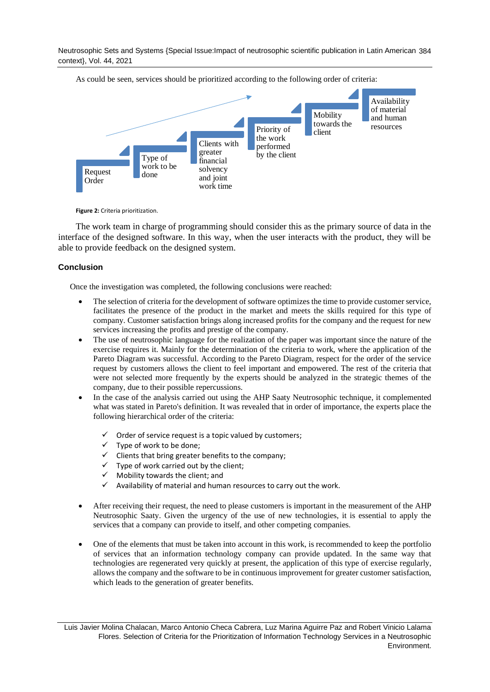Neutrosophic Sets and Systems {Special Issue:Impact of neutrosophic scientific publication in Latin American 384 context}, Vol. 44, 2021



As could be seen, services should be prioritized according to the following order of criteria:

**Figure 2:** Criteria prioritization.

The work team in charge of programming should consider this as the primary source of data in the interface of the designed software. In this way, when the user interacts with the product, they will be able to provide feedback on the designed system.

## **Conclusion**

Once the investigation was completed, the following conclusions were reached:

- The selection of criteria for the development of software optimizes the time to provide customer service, facilitates the presence of the product in the market and meets the skills required for this type of company. Customer satisfaction brings along increased profits for the company and the request for new services increasing the profits and prestige of the company.
- The use of neutrosophic language for the realization of the paper was important since the nature of the exercise requires it. Mainly for the determination of the criteria to work, where the application of the Pareto Diagram was successful. According to the Pareto Diagram, respect for the order of the service request by customers allows the client to feel important and empowered. The rest of the criteria that were not selected more frequently by the experts should be analyzed in the strategic themes of the company, due to their possible repercussions.
- In the case of the analysis carried out using the AHP Saaty Neutrosophic technique, it complemented what was stated in Pareto's definition. It was revealed that in order of importance, the experts place the following hierarchical order of the criteria:
	- Order of service request is a topic valued by customers;
	- $\checkmark$  Type of work to be done;
	- $\checkmark$  Clients that bring greater benefits to the company;<br> $\checkmark$  Type of work carried out by the client:
	- Type of work carried out by the client;
	- $\checkmark$  Mobility towards the client; and
	- $\checkmark$  Availability of material and human resources to carry out the work.
- After receiving their request, the need to please customers is important in the measurement of the AHP Neutrosophic Saaty. Given the urgency of the use of new technologies, it is essential to apply the services that a company can provide to itself, and other competing companies.
- One of the elements that must be taken into account in this work, is recommended to keep the portfolio of services that an information technology company can provide updated. In the same way that technologies are regenerated very quickly at present, the application of this type of exercise regularly, allows the company and the software to be in continuous improvement for greater customer satisfaction, which leads to the generation of greater benefits.

Luis Javier Molina Chalacan, Marco Antonio Checa Cabrera, Luz Marina Aguirre Paz and Robert Vinicio Lalama Flores. Selection of Criteria for the Prioritization of Information Technology Services in a Neutrosophic Environment.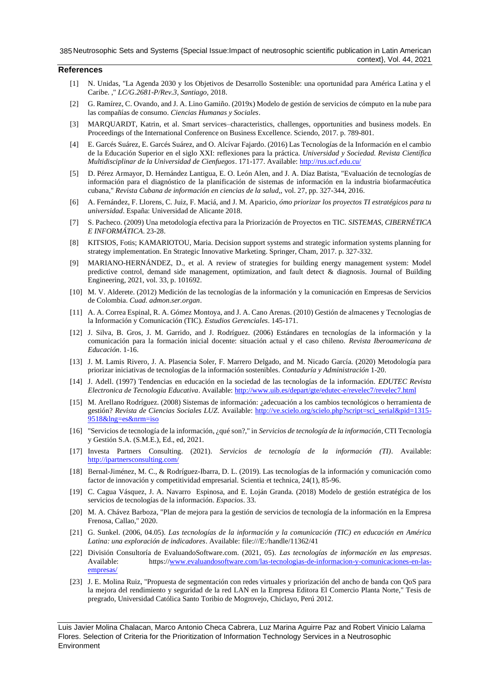## **References**

- <span id="page-7-0"></span>[1] N. Unidas, "La Agenda 2030 y los Objetivos de Desarrollo Sostenible: una oportunidad para América Latina y el Caribe. ," *LC/G.2681-P/Rev.3, Santiago,* 2018.
- <span id="page-7-1"></span>[2] G. Ramírez, C. Ovando, and J. A. Lino Gamiño. (2019x) Modelo de gestión de servicios de cómputo en la nube para las compañías de consumo. *Ciencias Humanas y Sociales*.
- [3] MARQUARDT, Katrin, et al. Smart services–characteristics, challenges, opportunities and business models. En Proceedings of the International Conference on Business Excellence. Sciendo, 2017. p. 789-801.
- [4] E. Garcés Suárez, E. Garcés Suárez, and O. Alcívar Fajardo. (2016) Las Tecnologías de la Información en el cambio de la Educación Superior en el siglo XXI: reflexiones para la práctica. *Universidad y Sociedad. Revista Científica Multidisciplinar de la Universidad de Cienfuegos*. 171-177. Available[: http://rus.ucf.edu.cu/](http://rus.ucf.edu.cu/)
- [5] D. Pérez Armayor, D. Hernández Lantigua, E. O. León Alen, and J. A. Díaz Batista, "Evaluación de tecnologías de información para el diagnóstico de la planificación de sistemas de información en la industria biofarmacéutica cubana," *Revista Cubana de información en ciencias de la salud,,* vol. 27, pp. 327-344, 2016.
- [6] A. Fernández, F. Llorens, C. Juiz, F. Maciá, and J. M. Aparicio, *ómo priorizar los proyectos TI estratégicos para tu universidad*. España: Universidad de Alicante 2018.
- [7] S. Pacheco. (2009) Una metodología efectiva para la Priorización de Proyectos en TIC. *SISTEMAS, CIBERNÉTICA E INFORMÁTICA*. 23-28.
- [8] KITSIOS, Fotis; KAMARIOTOU, Maria. Decision support systems and strategic information systems planning for strategy implementation. En Strategic Innovative Marketing. Springer, Cham, 2017. p. 327-332.
- [9] MARIANO-HERNÁNDEZ, D., et al. A review of strategies for building energy management system: Model predictive control, demand side management, optimization, and fault detect & diagnosis. Journal of Building Engineering, 2021, vol. 33, p. 101692.
- [10] M. V. Alderete. (2012) Medición de las tecnologías de la información y la comunicación en Empresas de Servicios de Colombia. *Cuad. admon.ser.organ*.
- [11] A. A. Correa Espinal, R. A. Gómez Montoya, and J. A. Cano Arenas. (2010) Gestión de almacenes y Tecnologías de la Información y Comunicación (TIC). *Estudios Gerenciales*. 145-171.
- [12] J. Silva, B. Gros, J. M. Garrido, and J. Rodríguez. (2006) Estándares en tecnologías de la información y la comunicación para la formación inicial docente: situación actual y el caso chileno. *Revista Iberoamericana de Educación*. 1-16.
- [13] J. M. Lamis Rivero, J. A. Plasencia Soler, F. Marrero Delgado, and M. Nicado García. (2020) Metodología para priorizar iniciativas de tecnologías de la información sostenibles. *Contaduría y Administración* 1-20.
- [14] J. Adell. (1997) Tendencias en educación en la sociedad de las tecnologías de la información. *EDUTEC Revista Electronica de Tecnologia Educativa*. Available[: http://www.uib.es/depart/gte/edutec-e/revelec7/revelec7.html](http://www.uib.es/depart/gte/edutec-e/revelec7/revelec7.html)
- [15] M. Arellano Rodríguez. (2008) Sistemas de información: ¿adecuación a los cambios tecnológicos o herramienta de gestión? *Revista de Ciencias Sociales LUZ*. Available: [http://ve.scielo.org/scielo.php?script=sci\\_serial&pid=1315-](http://ve.scielo.org/scielo.php?script=sci_serial&pid=1315-9518&lng=es&nrm=iso) [9518&lng=es&nrm=iso](http://ve.scielo.org/scielo.php?script=sci_serial&pid=1315-9518&lng=es&nrm=iso)
- [16] "Servicios de tecnología de la información, ¿qué son?," in *Servicios de tecnología de la información*, CTI Tecnología y Gestión S.A. (S.M.E.), Ed., ed, 2021.
- [17] Investa Partners Consulting. (2021). *Servicios de tecnología de la información (TI)*. Available: <http://ipartnersconsulting.com/>
- [18] Bernal-Jiménez, M. C., & Rodríguez-Ibarra, D. L. (2019). Las tecnologías de la información y comunicación como factor de innovación y competitividad empresarial. Scientia et technica, 24(1), 85-96.
- [19] C. Cagua Vásquez, J. A. Navarro Espinosa, and E. Loján Granda. (2018) Modelo de gestión estratégica de los servicios de tecnologías de la información. *Espacios*. 33.
- [20] M. A. Chávez Barboza, "Plan de mejora para la gestión de servicios de tecnología de la información en la Empresa Frenosa, Callao," 2020.
- [21] G. Sunkel. (2006, 04.05). *Las tecnologías de la información y la comunicación (TIC) en educación en América Latina: una exploración de indicadores*. Available: file:///E:/handle/11362/41
- [22] División Consultoría de EvaluandoSoftware.com. (2021, 05). *Las tecnologías de información en las empresas*. Available: https:/[/www.evaluandosoftware.com/las-tecnologias-de-informacion-y-comunicaciones-en-las](http://www.evaluandosoftware.com/las-tecnologias-de-informacion-y-comunicaciones-en-las-empresas/)[empresas/](http://www.evaluandosoftware.com/las-tecnologias-de-informacion-y-comunicaciones-en-las-empresas/)
- [23] J. E. Molina Ruiz, "Propuesta de segmentación con redes virtuales y priorización del ancho de banda con QoS para la mejora del rendimiento y seguridad de la red LAN en la Empresa Editora El Comercio Planta Norte," Tesis de pregrado, Universidad Católica Santo Toribio de Mogrovejo, Chiclayo, Perú 2012.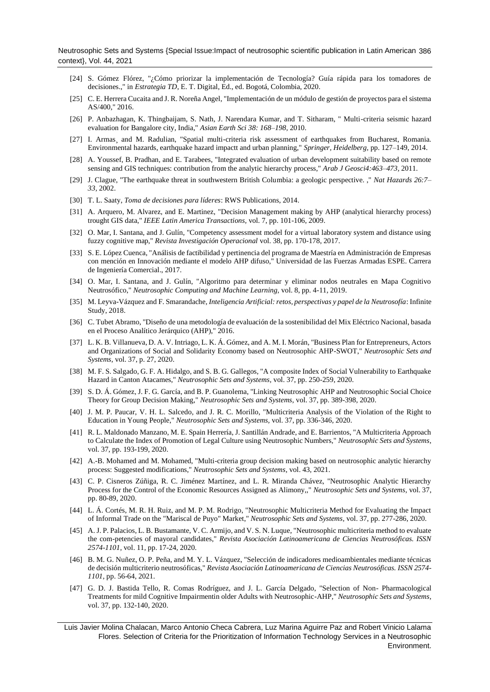Neutrosophic Sets and Systems {Special Issue:Impact of neutrosophic scientific publication in Latin American 386 context}, Vol. 44, 2021

- [24] S. Gómez Flórez, "¿Cómo priorizar la implementación de Tecnología? Guía rápida para los tomadores de decisiones.," in *Estrategia TD*, E. T. Digital, Ed., ed. Bogotá, Colombia, 2020.
- [25] C. E. Herrera Cucaita and J. R. Noreña Angel, "Implementación de un módulo de gestión de proyectos para el sistema AS/400," 2016.
- <span id="page-8-0"></span>[26] P. Anbazhagan, K. Thingbaijam, S. Nath, J. Narendara Kumar, and T. Sitharam, " Multi-criteria seismic hazard evaluation for Bangalore city, India," *Asian Earth Sci 38: 168–198,* 2010.
- [27] I. Armas, and M. Radulian, "Spatial multi-criteria risk assessment of earthquakes from Bucharest, Romania. Environmental hazards, earthquake hazard impactt and urban planning," *Springer, Heidelberg,* pp. 127–149, 2014.
- [28] A. Youssef, B. Pradhan, and E. Tarabees, "Integrated evaluation of urban development suitability based on remote sensing and GIS techniques: contribution from the analytic hierarchy process," *Arab J Geosci4:463–473,* 2011.
- [29] J. Clague, "The earthquake threat in southwestern British Columbia: a geologic perspective. ," *Nat Hazards 26:7– 33,* 2002.
- <span id="page-8-1"></span>[30] T. L. Saaty, *Toma de decisiones para líderes*: RWS Publications, 2014.
- <span id="page-8-2"></span>[31] A. Arquero, M. Alvarez, and E. Martinez, "Decision Management making by AHP (analytical hierarchy process) trought GIS data," *IEEE Latin America Transactions,* vol. 7, pp. 101-106, 2009.
- <span id="page-8-3"></span>[32] O. Mar, I. Santana, and J. Gulín, "Competency assessment model for a virtual laboratory system and distance using fuzzy cognitive map," *Revista Investigación Operacional* vol. 38, pp. 170-178, 2017.
- <span id="page-8-4"></span>[33] S. E. López Cuenca, "Análisis de factibilidad y pertinencia del programa de Maestría en Administración de Empresas con mención en Innovación mediante el modelo AHP difuso," Universidad de las Fuerzas Armadas ESPE. Carrera de Ingeniería Comercial., 2017.
- <span id="page-8-5"></span>[34] O. Mar, I. Santana, and J. Gulín, "Algoritmo para determinar y eliminar nodos neutrales en Mapa Cognitivo Neutrosófico," *Neutrosophic Computing and Machine Learning,* vol. 8, pp. 4-11, 2019.
- <span id="page-8-6"></span>[35] M. Leyva-Vázquez and F. Smarandache, *Inteligencia Artificial: retos, perspectivas y papel de la Neutrosofía*: Infinite Study, 2018.
- <span id="page-8-7"></span>[36] C. Tubet Abramo, "Diseño de una metodología de evaluación de la sostenibilidad del Mix Eléctrico Nacional, basada en el Proceso Analítico Jerárquico (AHP)," 2016.
- [37] L. K. B. Villanueva, D. A. V. Intriago, L. K. Á. Gómez, and A. M. I. Morán, "Business Plan for Entrepreneurs, Actors and Organizations of Social and Solidarity Economy based on Neutrosophic AHP-SWOT," *Neutrosophic Sets and Systems,* vol. 37, p. 27, 2020.
- [38] M. F. S. Salgado, G. F. A. Hidalgo, and S. B. G. Gallegos, "A composite Index of Social Vulnerability to Earthquake Hazard in Canton Atacames," *Neutrosophic Sets and Systems,* vol. 37, pp. 250-259, 2020.
- [39] S. D. Á. Gómez, J. F. G. García, and B. P. Guanolema, "Linking Neutrosophic AHP and Neutrosophic Social Choice Theory for Group Decision Making," *Neutrosophic Sets and Systems,* vol. 37, pp. 389-398, 2020.
- [40] J. M. P. Paucar, V. H. L. Salcedo, and J. R. C. Morillo, "Multicriteria Analysis of the Violation of the Right to Education in Young People," *Neutrosophic Sets and Systems,* vol. 37, pp. 336-346, 2020.
- [41] R. L. Maldonado Manzano, M. E. Spain Herrería, J. Santillán Andrade, and E. Barrientos, "A Multicriteria Approach to Calculate the Index of Promotion of Legal Culture using Neutrosophic Numbers," *Neutrosophic Sets and Systems,*  vol. 37, pp. 193-199, 2020.
- [42] A.-B. Mohamed and M. Mohamed, "Multi-criteria group decision making based on neutrosophic analytic hierarchy process: Suggested modifications," *Neutrosophic Sets and Systems,* vol. 43, 2021.
- [43] C. P. Cisneros Zúñiga, R. C. Jiménez Martínez, and L. R. Miranda Chávez, "Neutrosophic Analytic Hierarchy Process for the Control of the Economic Resources Assigned as Alimony,," *Neutrosophic Sets and Systems,* vol. 37, pp. 80-89, 2020.
- [44] L. Á. Cortés, M. R. H. Ruiz, and M. P. M. Rodrigo, "Neutrosophic Multicriteria Method for Evaluating the Impact of Informal Trade on the "Mariscal de Puyo" Market," *Neutrosophic Sets and Systems,* vol. 37, pp. 277-286, 2020.
- [45] A. J. P. Palacios, L. B. Bustamante, V. C. Armijo, and V. S. N. Luque, "Neutrosophic multicriteria method to evaluate the com-petencies of mayoral candidates," *Revista Asociación Latinoamericana de Ciencias Neutrosóficas. ISSN 2574-1101,* vol. 11, pp. 17-24, 2020.
- [46] B. M. G. Nuñez, O. P. Peña, and M. Y. L. Vázquez, "Selección de indicadores medioambientales mediante técnicas de decisión multicriterio neutrosóficas," *Revista Asociación Latinoamericana de Ciencias Neutrosóficas. ISSN 2574- 1101,* pp. 56-64, 2021.
- [47] G. D. J. Bastida Tello, R. Comas Rodríguez, and J. L. García Delgado, "Selection of Non- Pharmacological Treatments for mild Cognitive Impairmentin older Adults with Neutrosophic-AHP," *Neutrosophic Sets and Systems,*  vol. 37, pp. 132-140, 2020.

Luis Javier Molina Chalacan, Marco Antonio Checa Cabrera, Luz Marina Aguirre Paz and Robert Vinicio Lalama Flores. Selection of Criteria for the Prioritization of Information Technology Services in a Neutrosophic Environment.